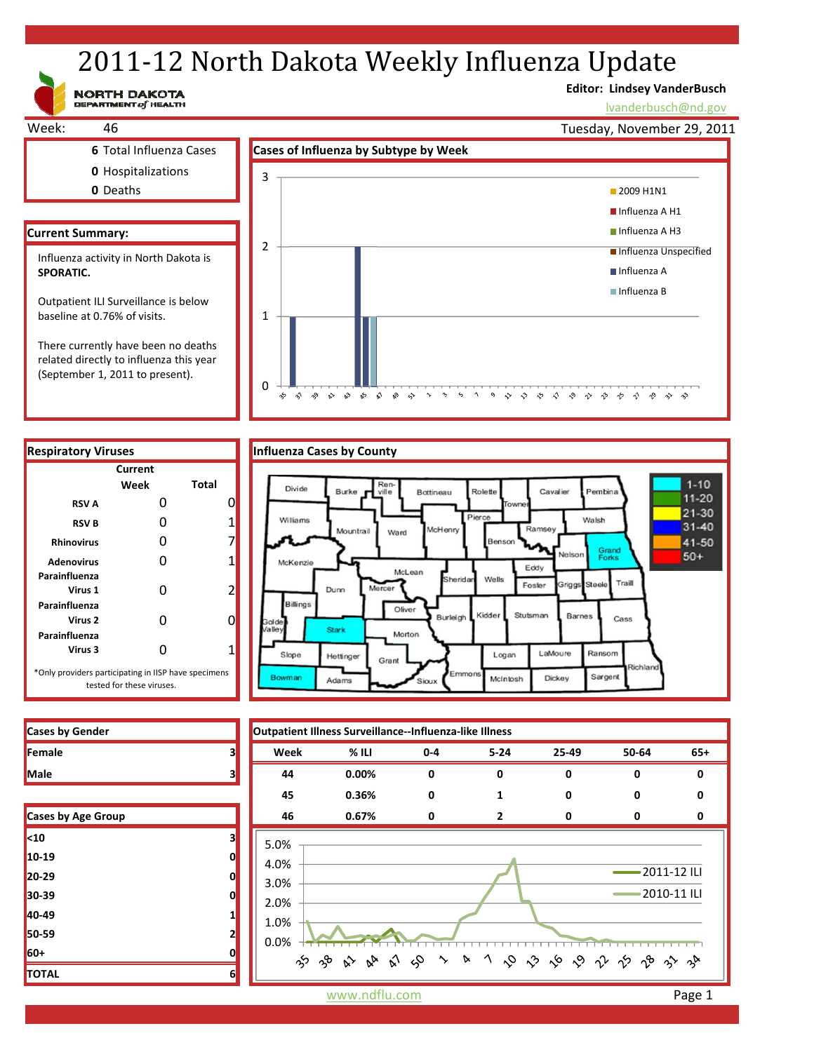# 2011-12 North Dakota Weekly Influenza Update

NORTH DAKOTA

# **Editor: Lindsey VanderBusch**

\* \* \* \* \* \* \* \* \* \* \* \*

lvanderbusch@nd.gov



related directly to influenza this year (September 1, 2011 to present).



|  | fluenza Cases by County |  |
|--|-------------------------|--|
|  |                         |  |

 $\approx$ 

 $\mathbf{v}^{\prime}$ 

 $\mathbf{r}$  $\mathbb{S}^9$   $\mathbb{S}^5$ 

ু≿

 $\gamma$ 

 $\sim$ 

0

z  $\hat{\gamma}$  $\gamma^{\bullet}_{\gamma}$ 



**Cases by Gender Outpatient Illness Surveillance‐‐Influenza‐like Illness Female 3 Week % ILI 0‐4 5‐24 25‐49 50‐64 65+ Male 3 44 0.00% 0 0 0 0 0 45 0.36% 0 1 0 0 0 Cases by Age Group 46 0.67% 0 2 0 0 0** 5.0% 4.0% 2011‐12 ILI 3.0% 2010‐11 ILI 2.0% 1.0% 0.0% 

| <b>Cases by Gender</b> |  |
|------------------------|--|
| <b>Female</b>          |  |
| Male                   |  |

| <b>Cases by Age Group</b> |   |
|---------------------------|---|
| $10$                      | з |
| 10-19                     | 0 |
| 20-29                     | 0 |
| 30-39                     | ი |
| 40-49                     |   |
| 50-59                     | 2 |
| 60+                       | 0 |
| <b>TOTAL</b>              | 6 |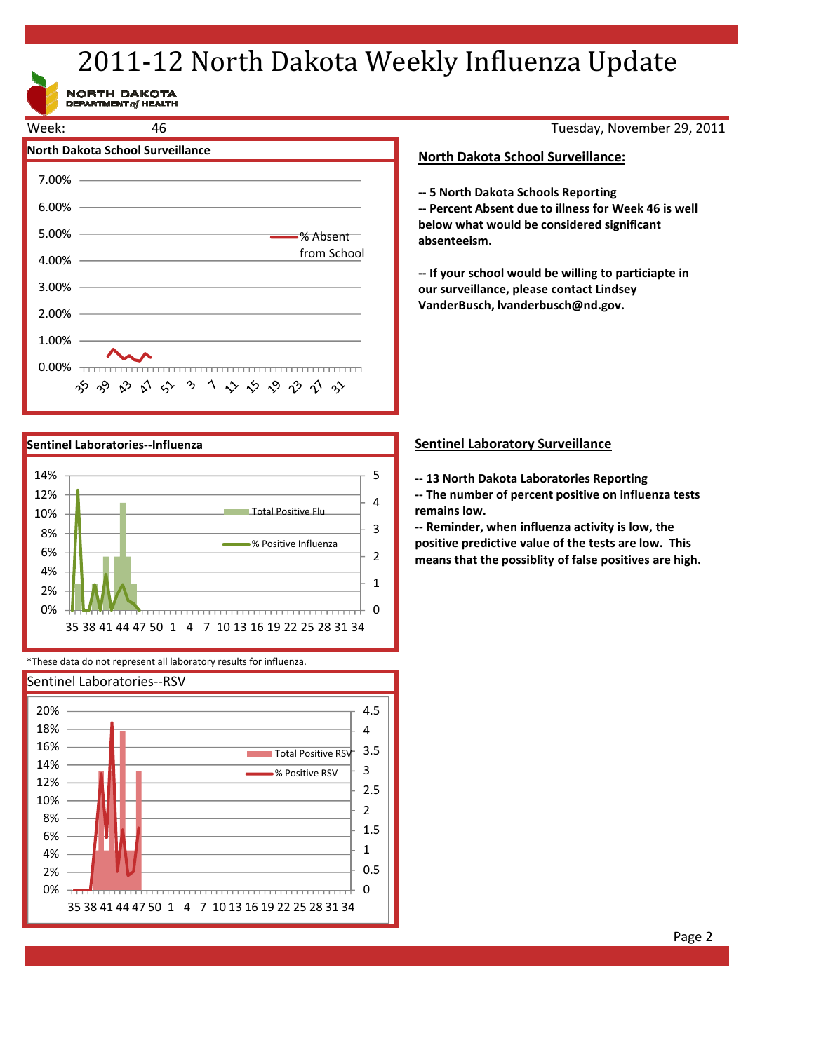# 2011-12 North Dakota Weekly Influenza Update

NORTH DAKOTA<br>DEPARTMENT of HEALTH



Tuesday, November 29, 2011

### **North Dakota School Surveillance:**

**‐‐ 5 North Dakota Schools Reporting**

**‐‐ Percent Absent due to illness for Week 46 is well below what would be considered significant absenteeism.**

**‐‐ If your school would be willing to particiapte in our surveillance, please contact Lindsey VanderBusch, lvanderbusch@nd.gov.**



\*These data do not represent all laboratory results for influenza.



# **Sentinel Laboratory Surveillance**

**‐‐ 13 North Dakota Laboratories Reporting**

**‐‐ The number of percent positive on influenza tests remains low.**

**‐‐ Reminder, when influenza activity is low, the positive predictive value of the tests are low. This means that the possiblity of false positives are high.**